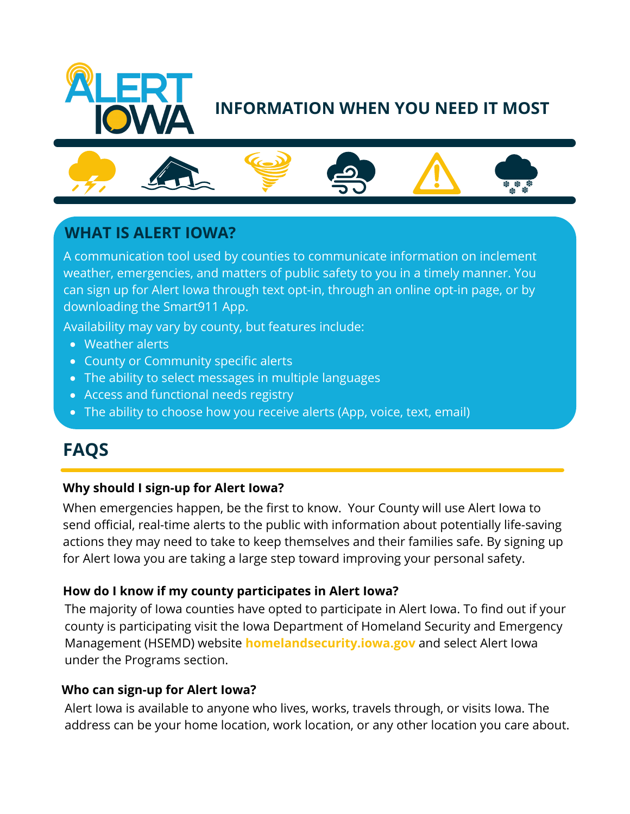

# **INFORMATION WHEN YOU NEED IT MOST**



## **WHAT IS ALERT IOWA?**

A communication tool used by counties to communicate information on inclement weather, emergencies, and matters of public safety to you in a timely manner. You can sign up for Alert Iowa through text opt-in, through an online opt-in page, or by downloading the Smart911 App.

Availability may vary by county, but features include:

- Weather alerts
- County or Community specific alerts
- The ability to select messages in multiple languages
- Access and functional needs registry
- The ability to choose how you receive alerts (App, voice, text, email)

# **FAQS**

## **Why should I sign-up for Alert Iowa?**

When emergencies happen, be the first to know. Your County will use Alert Iowa to send official, real-time alerts to the public with information about potentially life-saving actions they may need to take to keep themselves and their families safe. By signing up for Alert Iowa you are taking a large step toward improving your personal safety.

#### **How do I know if my county participates in Alert Iowa?**

The majority of Iowa counties have opted to participate in Alert Iowa. To find out if your county is participating visit the Iowa Department of Homeland Security and Emergency Management (HSEMD) website **homelandsecurity.iowa.gov** and select Alert Iowa under the Programs section.

#### **Who can sign-up for Alert Iowa?**

Alert Iowa is available to anyone who lives, works, travels through, or visits Iowa. The address can be your home location, work location, or any other location you care about.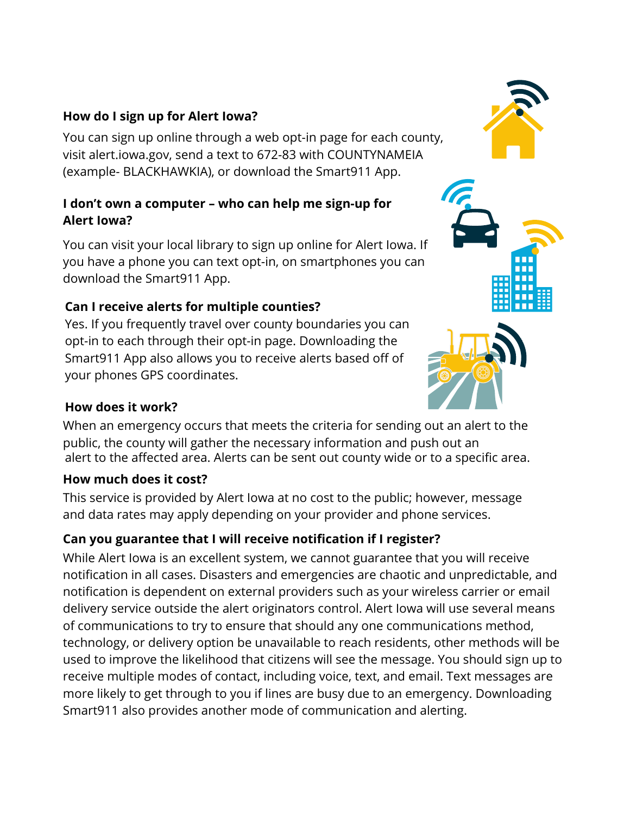#### **How do I sign up for Alert Iowa?**

You can sign up online through a web opt-in page for each county, visit alert.iowa.gov, send a text to 672-83 with COUNTYNAMEIA (example- BLACKHAWKIA), or download the Smart911 App.

## **I don't own a computer – who can help me sign-up for Alert Iowa?**

You can visit your local library to sign up online for Alert Iowa. If you have a phone you can text opt-in, on smartphones you can download the Smart911 App.

## **Can I receive alerts for multiple counties?**

Yes. If you frequently travel over county boundaries you can opt-in to each through their opt-in page. Downloading the Smart911 App also allows you to receive alerts based off of your phones GPS coordinates.

## **How does it work?**

When an emergency occurs that meets the criteria for sending out an alert to the public, the county will gather the necessary information and push out an alert to the affected area. Alerts can be sent out county wide or to a specific area.

## **How much does it cost?**

This service is provided by Alert Iowa at no cost to the public; however, message and data rates may apply depending on your provider and phone services.

## **Can you guarantee that I will receive notification if I register?**

While Alert Iowa is an excellent system, we cannot guarantee that you will receive notification in all cases. Disasters and emergencies are chaotic and unpredictable, and notification is dependent on external providers such as your wireless carrier or email delivery service outside the alert originators control. Alert Iowa will use several means of communications to try to ensure that should any one communications method, technology, or delivery option be unavailable to reach residents, other methods will be used to improve the likelihood that citizens will see the message. You should sign up to receive multiple modes of contact, including voice, text, and email. Text messages are more likely to get through to you if lines are busy due to an emergency. Downloading Smart911 also provides another mode of communication and alerting.





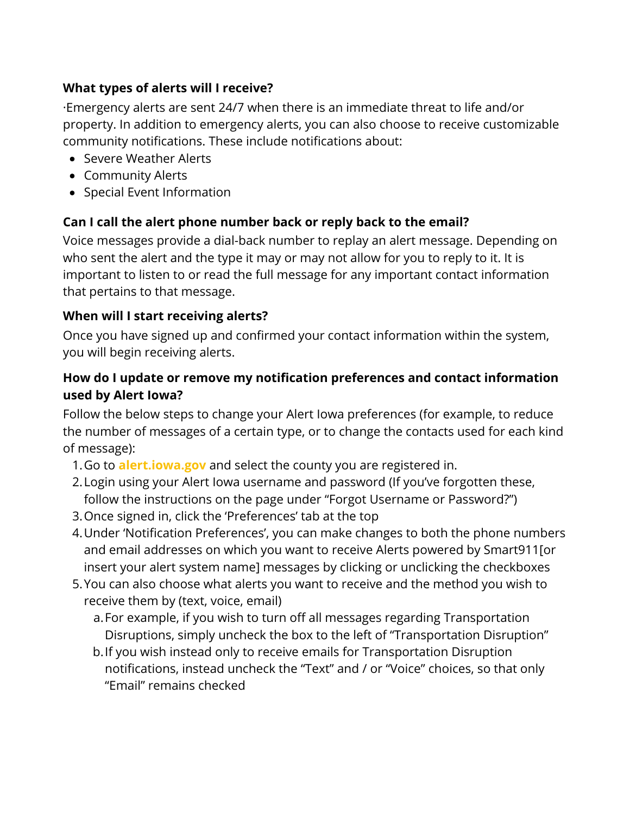## **What types of alerts will I receive?**

·Emergency alerts are sent 24/7 when there is an immediate threat to life and/or property. In addition to emergency alerts, you can also choose to receive customizable community notifications. These include notifications about:

- Severe Weather Alerts
- Community Alerts
- Special Event Information

## **Can I call the alert phone number back or reply back to the email?**

Voice messages provide a dial-back number to replay an alert message. Depending on who sent the alert and the type it may or may not allow for you to reply to it. It is important to listen to or read the full message for any important contact information that pertains to that message.

## **When will I start receiving alerts?**

Once you have signed up and confirmed your contact information within the system, you will begin receiving alerts.

## **How do I update or remove my notification preferences and contact information used by Alert Iowa?**

Follow the below steps to change your Alert Iowa preferences (for example, to reduce the number of messages of a certain type, or to change the contacts used for each kind of message):

- 1.Go to **alert.iowa.gov** and select the county you are registered in.
- Login using your Alert Iowa username and password (If you've forgotten these, 2. follow the instructions on the page under "Forgot Username or Password?")
- 3.Once signed in, click the 'Preferences' tab at the top
- 4. Under 'Notification Preferences', you can make changes to both the phone numbers and email addresses on which you want to receive Alerts powered by Smart911[or insert your alert system name] messages by clicking or unclicking the checkboxes
- You can also choose what alerts you want to receive and the method you wish to 5. receive them by (text, voice, email)

a.For example, if you wish to turn off all messages regarding Transportation Disruptions, simply uncheck the box to the left of "Transportation Disruption"

b. If you wish instead only to receive emails for Transportation Disruption notifications, instead uncheck the "Text" and / or "Voice" choices, so that only "Email" remains checked